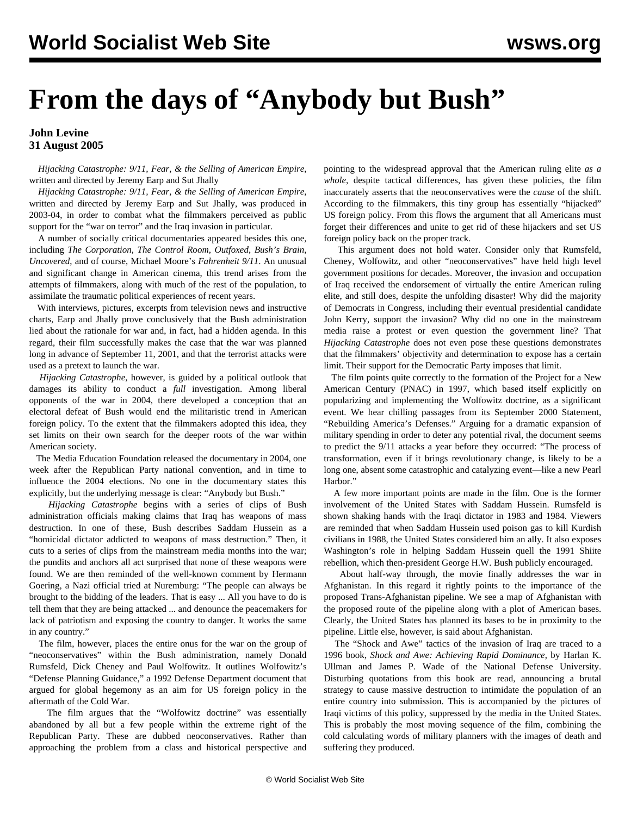## **From the days of "Anybody but Bush"**

## **John Levine 31 August 2005**

 *Hijacking Catastrophe: 9/11, Fear, & the Selling of American Empire*, written and directed by Jeremy Earp and Sut Jhally

 *Hijacking Catastrophe: 9/11, Fear, & the Selling of American Empire*, written and directed by Jeremy Earp and Sut Jhally, was produced in 2003-04, in order to combat what the filmmakers perceived as public support for the "war on terror" and the Iraq invasion in particular.

 A number of socially critical documentaries appeared besides this one, including *The Corporation*, *The Control Room*, *Outfoxed*, *Bush's Brain*, *Uncovered*, and of course, Michael Moore's *Fahrenheit 9/11*. An unusual and significant change in American cinema, this trend arises from the attempts of filmmakers, along with much of the rest of the population, to assimilate the traumatic political experiences of recent years.

 With interviews, pictures, excerpts from television news and instructive charts, Earp and Jhally prove conclusively that the Bush administration lied about the rationale for war and, in fact, had a hidden agenda. In this regard, their film successfully makes the case that the war was planned long in advance of September 11, 2001, and that the terrorist attacks were used as a pretext to launch the war.

 *Hijacking Catastrophe*, however, is guided by a political outlook that damages its ability to conduct a *full* investigation. Among liberal opponents of the war in 2004, there developed a conception that an electoral defeat of Bush would end the militaristic trend in American foreign policy. To the extent that the filmmakers adopted this idea, they set limits on their own search for the deeper roots of the war within American society.

 The Media Education Foundation released the documentary in 2004, one week after the Republican Party national convention, and in time to influence the 2004 elections. No one in the documentary states this explicitly, but the underlying message is clear: "Anybody but Bush."

 *Hijacking Catastrophe* begins with a series of clips of Bush administration officials making claims that Iraq has weapons of mass destruction. In one of these, Bush describes Saddam Hussein as a "homicidal dictator addicted to weapons of mass destruction." Then, it cuts to a series of clips from the mainstream media months into the war; the pundits and anchors all act surprised that none of these weapons were found. We are then reminded of the well-known comment by Hermann Goering, a Nazi official tried at Nuremburg: "The people can always be brought to the bidding of the leaders. That is easy ... All you have to do is tell them that they are being attacked ... and denounce the peacemakers for lack of patriotism and exposing the country to danger. It works the same in any country."

 The film, however, places the entire onus for the war on the group of "neoconservatives" within the Bush administration, namely Donald Rumsfeld, Dick Cheney and Paul Wolfowitz. It outlines Wolfowitz's "Defense Planning Guidance," a 1992 Defense Department document that argued for global hegemony as an aim for US foreign policy in the aftermath of the Cold War.

 The film argues that the "Wolfowitz doctrine" was essentially abandoned by all but a few people within the extreme right of the Republican Party. These are dubbed neoconservatives. Rather than approaching the problem from a class and historical perspective and pointing to the widespread approval that the American ruling elite *as a whole,* despite tactical differences, has given these policies, the film inaccurately asserts that the neoconservatives were the *cause* of the shift. According to the filmmakers, this tiny group has essentially "hijacked" US foreign policy. From this flows the argument that all Americans must forget their differences and unite to get rid of these hijackers and set US foreign policy back on the proper track.

 This argument does not hold water. Consider only that Rumsfeld, Cheney, Wolfowitz, and other "neoconservatives" have held high level government positions for decades. Moreover, the invasion and occupation of Iraq received the endorsement of virtually the entire American ruling elite, and still does, despite the unfolding disaster! Why did the majority of Democrats in Congress, including their eventual presidential candidate John Kerry, support the invasion? Why did no one in the mainstream media raise a protest or even question the government line? That *Hijacking Catastrophe* does not even pose these questions demonstrates that the filmmakers' objectivity and determination to expose has a certain limit. Their support for the Democratic Party imposes that limit.

 The film points quite correctly to the formation of the Project for a New American Century (PNAC) in 1997, which based itself explicitly on popularizing and implementing the Wolfowitz doctrine, as a significant event. We hear chilling passages from its September 2000 Statement, "Rebuilding America's Defenses." Arguing for a dramatic expansion of military spending in order to deter any potential rival, the document seems to predict the 9/11 attacks a year before they occurred: "The process of transformation, even if it brings revolutionary change, is likely to be a long one, absent some catastrophic and catalyzing event—like a new Pearl Harbor."

 A few more important points are made in the film. One is the former involvement of the United States with Saddam Hussein. Rumsfeld is shown shaking hands with the Iraqi dictator in 1983 and 1984. Viewers are reminded that when Saddam Hussein used poison gas to kill Kurdish civilians in 1988, the United States considered him an ally. It also exposes Washington's role in helping Saddam Hussein quell the 1991 Shiite rebellion, which then-president George H.W. Bush publicly encouraged.

 About half-way through, the movie finally addresses the war in Afghanistan. In this regard it rightly points to the importance of the proposed Trans-Afghanistan pipeline. We see a map of Afghanistan with the proposed route of the pipeline along with a plot of American bases. Clearly, the United States has planned its bases to be in proximity to the pipeline. Little else, however, is said about Afghanistan.

 The "Shock and Awe" tactics of the invasion of Iraq are traced to a 1996 book, *Shock and Awe: Achieving Rapid Dominance*, by Harlan K. Ullman and James P. Wade of the National Defense University. Disturbing quotations from this book are read, announcing a brutal strategy to cause massive destruction to intimidate the population of an entire country into submission. This is accompanied by the pictures of Iraqi victims of this policy, suppressed by the media in the United States. This is probably the most moving sequence of the film, combining the cold calculating words of military planners with the images of death and suffering they produced.